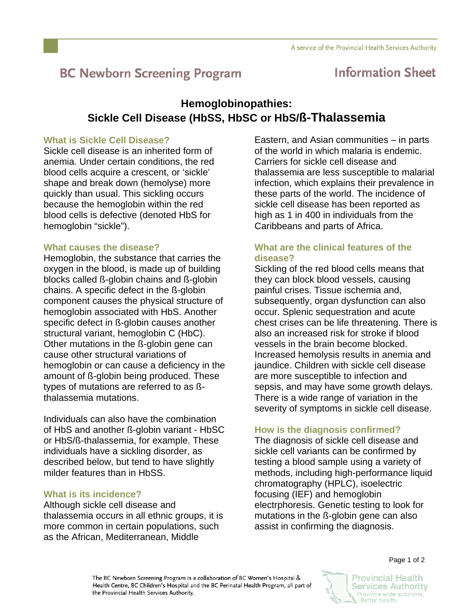# **BC Newborn Screening Program**

## **Information Sheet**

## **Hemoglobinopathies: Sickle Cell Disease (HbSS, HbSC or HbS/ß-Thalassemia**

### **What is Sickle Cell Disease?**

Sickle cell disease is an inherited form of anemia. Under certain conditions, the red blood cells acquire a crescent, or 'sickle' shape and break down (hemolyse) more quickly than usual. This sickling occurs because the hemoglobin within the red blood cells is defective (denoted HbS for hemoglobin "sickle").

### **What causes the disease?**

Hemoglobin, the substance that carries the oxygen in the blood, is made up of building blocks called ß-globin chains and ß-globin chains. A specific defect in the ß-globin component causes the physical structure of hemoglobin associated with HbS. Another specific defect in ß-globin causes another structural variant, hemoglobin C (HbC). Other mutations in the ß-globin gene can cause other structural variations of hemoglobin or can cause a deficiency in the amount of ß-globin being produced. These types of mutations are referred to as ßthalassemia mutations.

Individuals can also have the combination of HbS and another ß-globin variant - HbSC or HbS/ß-thalassemia, for example. These individuals have a sickling disorder, as described below, but tend to have slightly milder features than in HbSS

## **What is its incidence?**

Although sickle cell disease and thalassemia occurs in all ethnic groups, it is more common in certain populations, such as the African, Mediterranean, Middle

Eastern, and Asian communities – in parts of the world in which malaria is endemic. Carriers for sickle cell disease and thalassemia are less susceptible to malarial infection, which explains their prevalence in these parts of the world. The incidence of sickle cell disease has been reported as high as 1 in 400 in individuals from the Caribbeans and parts of Africa.

## **What are the clinical features of the disease?**

Sickling of the red blood cells means that they can block blood vessels, causing painful crises. Tissue ischemia and, subsequently, organ dysfunction can also occur. Splenic sequestration and acute chest crises can be life threatening. There is also an increased risk for stroke if blood vessels in the brain become blocked. Increased hemolysis results in anemia and jaundice. Children with sickle cell disease are more susceptible to infection and sepsis, and may have some growth delays. There is a wide range of variation in the severity of symptoms in sickle cell disease.

## **How is the diagnosis confirmed?**

The diagnosis of sickle cell disease and sickle cell variants can be confirmed by testing a blood sample using a variety of methods, including high-performance liquid chromatography (HPLC), isoelectric focusing (IEF) and hemoglobin electrphoresis. Genetic testing to look for mutations in the ß-globin gene can also assist in confirming the diagnosis.



**Provincial Health Services Authority** Province-wide solutions. Better health.